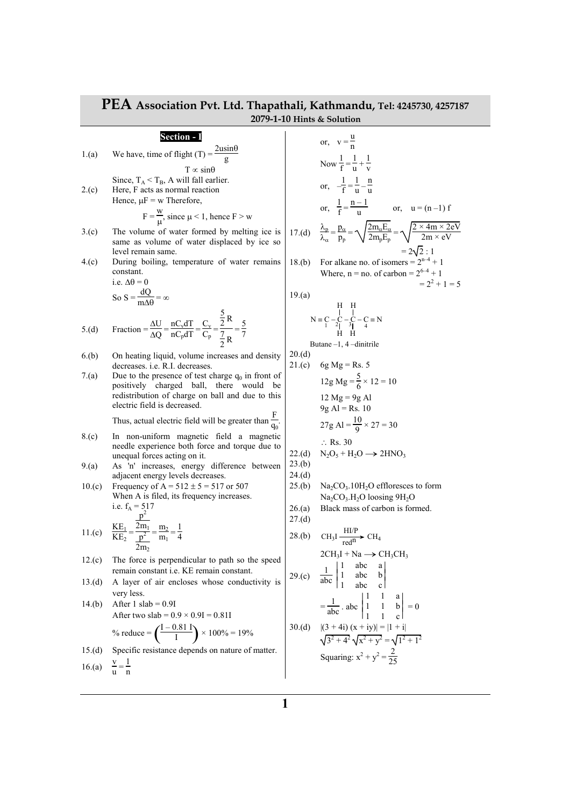|                  | F EA Association PVt. Ltd. Thapathall, Kathmandu, Tel: 4245/30, 425/18/<br>2079-1-10 Hints & Solution                                                                                                          |                            |                                                                                                                                                                                       |  |  |
|------------------|----------------------------------------------------------------------------------------------------------------------------------------------------------------------------------------------------------------|----------------------------|---------------------------------------------------------------------------------------------------------------------------------------------------------------------------------------|--|--|
|                  | Section - I                                                                                                                                                                                                    |                            | or, $v = \frac{u}{n}$                                                                                                                                                                 |  |  |
| 1.(a)            | We have, time of flight (T) = $\frac{2 \text{usin} \theta}{g}$                                                                                                                                                 |                            | Now $\frac{1}{f} = \frac{1}{u} + \frac{1}{v}$                                                                                                                                         |  |  |
| 2.(c)            | $T \propto \sin\theta$<br>Since, $T_A < T_B$ , A will fall earlier.<br>Here, F acts as normal reaction<br>Hence, $\mu$ F = w Therefore,<br>$F = \frac{W}{H}$ , since $\mu < 1$ , hence $F > W$                 |                            | or, $-\frac{1}{f} = \frac{1}{v} - \frac{n}{v}$<br>or, $\frac{1}{f} = \frac{n-1}{n}$ or, $u = (n-1) f$                                                                                 |  |  |
| 3(0)             | The volume of water formed by melting ice is<br>same as volume of water displaced by ice so<br>level remain same.                                                                                              |                            | 17.(d) $\frac{\lambda_p}{\lambda_{cr}} = \frac{p_\alpha}{p_n} = \sqrt{\frac{2m_\alpha E_\alpha}{2m_n E_n}} = \sqrt{\frac{2 \times 4m \times 2eV}{2m \times eV}}$<br>$= 2\sqrt{2} : 1$ |  |  |
| 4.(c)            | During boiling, temperature of water remains<br>constant.<br>i.e. $\Delta\theta = 0$<br>So S = $\frac{dQ}{m \Delta \Delta}$ = $\infty$                                                                         | 18.(b)<br>19(a)            | For alkane no. of isomers = $2^{n-4} + 1$<br>Where, $n = no$ . of carbon = $2^{6-4} + 1$<br>$= 2^2 + 1 = 5$                                                                           |  |  |
| 5.(d)            | Fraction = $\frac{\Delta U}{\Delta Q}$ = $\frac{nC_v dT}{nC_p dT}$ = $\frac{C_v}{C_p}$ = $\frac{\frac{3}{2} R}{\frac{7}{2} R}$ = $\frac{5}{7}$                                                                 |                            | $N = C - C - C = N$<br>$N = C - C - C = N$<br>Butane $-1$ , 4 -dinitrile                                                                                                              |  |  |
| 6.(b)            | On heating liquid, volume increases and density<br>decreases. i.e. R.I. decreases.                                                                                                                             | 20.(d)<br>21.(c)           | 6g Mg = Rs. 5                                                                                                                                                                         |  |  |
| 7.(a)            | Due to the presence of test charge $q_0$ in front of<br>positively charged ball, there would be<br>redistribution of charge on ball and due to this<br>electric field is decreased.                            |                            | $12g\text{ Mg} = \frac{5}{6} \times 12 = 10$<br>$12 Mg = 9g Al$<br>$9g$ Al = Rs. 10                                                                                                   |  |  |
|                  | Thus, actual electric field will be greater than $\frac{F}{q_0}$ .                                                                                                                                             |                            | 27g Al = $\frac{10}{9} \times 27 = 30$                                                                                                                                                |  |  |
| 8.(c)<br>9(a)    | In non-uniform magnetic field a magnetic<br>needle experience both force and torque due to<br>unequal forces acting on it.<br>As 'n' increases, energy difference between<br>adjacent energy levels decreases. | 22.(d)<br>23.(b)<br>24.(d) | $\therefore$ Rs. 30<br>$N_2O_5 + H_2O \rightarrow 2HNO_3$                                                                                                                             |  |  |
| 10.(c)           | Frequency of A = $512 \pm 5 = 517$ or 507<br>When A is filed, its frequency increases.<br>i.e. $f_A = 517$                                                                                                     | 25.(b)<br>26.(a)<br>27.(d) | $Na2CO3$ .10H <sub>2</sub> O effloresces to form<br>$Na2CO3.H2O$ loosing $9H2O$<br>Black mass of carbon is formed.                                                                    |  |  |
|                  | 11.(c) $\frac{KE_1}{KE_2} = \frac{\frac{p^2}{2m_1}}{\frac{p^2}{2m_1}} = \frac{m_2}{m_1} = \frac{1}{4}$<br>2m <sub>2</sub>                                                                                      |                            | 28.(b) CH <sub>3</sub> I $\frac{HI/P}{red^n}$ CH <sub>4</sub>                                                                                                                         |  |  |
| 12.(c)           | The force is perpendicular to path so the speed<br>remain constant <i>i.e.</i> KE remain constant.                                                                                                             |                            | $2CH_3I + Na \rightarrow CH_3CH_3$<br>29.(c) $\frac{1}{abc} \begin{vmatrix} 1 & abc & a \\ 1 & abc & b \\ 1 & abc & c \end{vmatrix}$                                                  |  |  |
| 13.(d)<br>14.(b) | A layer of air encloses whose conductivity is<br>very less.<br>After $1$ slab = 0.9I<br>After two slab = $0.9 \times 0.9$ I = $0.81$ I                                                                         |                            | $=\frac{1}{abc}$ . abc $\begin{vmatrix} 1 & 1 & a \\ 1 & 1 & b \\ 1 & 1 & c \end{vmatrix} = 0$                                                                                        |  |  |
|                  | % reduce = $\left(\frac{I - 0.81 \text{ I}}{I}\right) \times 100\% = 19\%$                                                                                                                                     | 30.(d)                     | $ (3 + 4i) (x + iy)  =  1 + i $<br>$\sqrt{3^2+4^2}\sqrt{x^2+y^2}=\sqrt{1^2+1^2}$                                                                                                      |  |  |
| 15.(d)           | Specific resistance depends on nature of matter.                                                                                                                                                               |                            | Squaring: $x^2 + y^2 = \frac{2}{25}$                                                                                                                                                  |  |  |
| 16.(a)           | $\frac{v}{u} = \frac{1}{n}$                                                                                                                                                                                    |                            |                                                                                                                                                                                       |  |  |

## **PEA Association Pvt. Ltd. Thapathali, Kathmandu, Tel: 4245730, 4257187**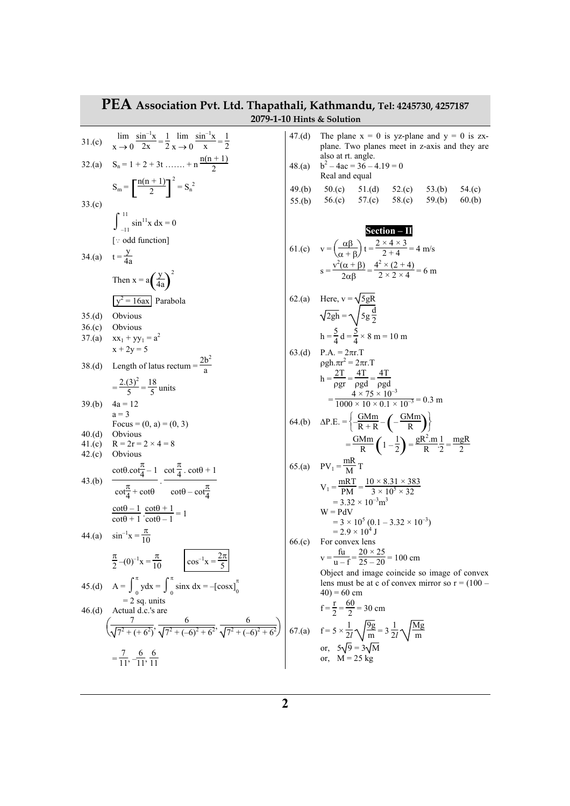| PEA Association Pvt. Ltd. Thapathali, Kathmandu, Tel: 4245730, 4257187<br>2079-1-10 Hints & Solution |                                                                                                                                                                                                                                      |        |                                                                                                                                                                                                                    |  |  |
|------------------------------------------------------------------------------------------------------|--------------------------------------------------------------------------------------------------------------------------------------------------------------------------------------------------------------------------------------|--------|--------------------------------------------------------------------------------------------------------------------------------------------------------------------------------------------------------------------|--|--|
| 31.(c)                                                                                               | $\lim_{x \to 0} \frac{\sin^{-1}x}{2x} = \frac{1}{2} \lim_{x \to 0} \frac{\sin^{-1}x}{x} = \frac{1}{2}$                                                                                                                               | 47.(d) | The plane $x = 0$ is yz-plane and $y = 0$ is zx-<br>plane. Two planes meet in z-axis and they are<br>also at rt. angle.                                                                                            |  |  |
|                                                                                                      | 32.(a) $S_n = 1 + 2 + 3t$ + $n \frac{n(n+1)}{2}$                                                                                                                                                                                     | 48.(a) | $b^2 - 4ac = 36 - 4.19 = 0$<br>Real and equal                                                                                                                                                                      |  |  |
| 33.(c)                                                                                               | $S_m = \left[\frac{n(n+1)}{2}\right]^2 = S_n^2$                                                                                                                                                                                      | 49.(b) | $50.(c)$ $51.(d)$ $52.(c)$ $53.(b)$<br>54(c)<br>55.(b) 56.(c) 57.(c) 58.(c) 59.(b)<br>60.(b)                                                                                                                       |  |  |
|                                                                                                      | $\int_{1}^{11} \sin^{11} x \ dx = 0$<br>[: odd function]                                                                                                                                                                             |        | $Section - II$                                                                                                                                                                                                     |  |  |
|                                                                                                      | 34.(a) $t = \frac{y}{4a}$<br>Then $x = a \left(\frac{y}{4a}\right)^2$                                                                                                                                                                |        | 61.(c) $v = \left(\frac{\alpha\beta}{\alpha + \beta}\right)t = \frac{2 \times 4 \times 3}{2 + 4} = 4$ m/s<br>$s = \frac{v^2(\alpha + \beta)}{2\alpha\beta} = \frac{4^2 \times (2 + 4)}{2 \times 2 \times 4} = 6$ m |  |  |
|                                                                                                      | $\sqrt{y^2} = 16ax$ Parabola                                                                                                                                                                                                         |        | 62.(a) Here, $v = \sqrt{5gR}$                                                                                                                                                                                      |  |  |
| 35.(d)                                                                                               | Obvious                                                                                                                                                                                                                              |        | $\sqrt{2gh} = \sqrt{5g\frac{d}{2}}$                                                                                                                                                                                |  |  |
| 36.(c)                                                                                               | Obvious                                                                                                                                                                                                                              |        |                                                                                                                                                                                                                    |  |  |
| 37.(a)                                                                                               | $xx_1 + yy_1 = a^2$                                                                                                                                                                                                                  |        | $h = \frac{5}{4}d = \frac{5}{4} \times 8 m = 10 m$                                                                                                                                                                 |  |  |
|                                                                                                      | $x + 2y = 5$<br>38.(d) Length of latus rectum = $\frac{2b^2}{a}$                                                                                                                                                                     |        | 63.(d) $P.A. = 2\pi r.T$<br>$\rho gh. \pi r^2 = 2\pi r. T$                                                                                                                                                         |  |  |
|                                                                                                      | $=\frac{2(3)^2}{5}=\frac{18}{5}$ units                                                                                                                                                                                               |        | $h = \frac{2T}{\rho gr} = \frac{4T}{\rho gd} = \frac{4T}{\rho gd}$<br>$=\frac{4 \times 75 \times 10^{-3}}{1000 \times 10 \times 0.1 \times 10^{-3}} = 0.3 \text{ m}$                                               |  |  |
| 39.(b)                                                                                               | $4a = 12$<br>$a = 3$<br>Focus = $(0, a) = (0, 3)$                                                                                                                                                                                    |        | 64.(b) $\Delta P.E. = \left\{ -\frac{GMm}{R+R} - \left( -\frac{GMm}{R} \right) \right\}$                                                                                                                           |  |  |
| 40.(d)                                                                                               | Obvious                                                                                                                                                                                                                              |        |                                                                                                                                                                                                                    |  |  |
| 41.(c)                                                                                               | $R = 2r = 2 \times 4 = 8$                                                                                                                                                                                                            |        | $=\frac{GMm}{R}\left(1-\frac{1}{2}\right)=\frac{gR^{2}m}{R}\cdot\frac{1}{2}=\frac{mgR}{2}$                                                                                                                         |  |  |
| 42.(c)                                                                                               | Obvious                                                                                                                                                                                                                              |        |                                                                                                                                                                                                                    |  |  |
|                                                                                                      | $\cot\theta \cdot \cot\frac{\pi}{4} - 1 \quad \cot\frac{\pi}{4} \cdot \cot\theta + 1$                                                                                                                                                |        | 65.(a) $PV_1 = \frac{mR}{M}T$                                                                                                                                                                                      |  |  |
| 43.(b)                                                                                               | $\frac{\pi}{\cot^{\frac{\pi}{4}} + \cot\theta}$ . $\cot\theta - \cot^{\frac{\pi}{4}}$                                                                                                                                                |        | $V_1 = {mRT \over PMA} = {10 \times 8.31 \times 383 \over 2 \times 10^5 \times 32}$<br>$= 3.32 \times 10^{-3}$ m <sup>3</sup>                                                                                      |  |  |
|                                                                                                      | $\frac{\cot\theta - 1}{\cot\theta + 1} \cdot \frac{\cot\theta + 1}{\cot\theta - 1} = 1$                                                                                                                                              |        | $W = PdV$<br>$=$ 3 × 10 <sup>5</sup> (0.1 – 3.32 × 10 <sup>-3</sup> )                                                                                                                                              |  |  |
|                                                                                                      | 44.(a) $\sin^{-1} x = \frac{\pi}{10}$                                                                                                                                                                                                | 66.(c) | $= 2.9 \times 10^4$ J<br>For convex lens                                                                                                                                                                           |  |  |
|                                                                                                      | $\frac{\pi}{2}$ -(0) <sup>-1</sup> x = $\frac{\pi}{10}$ $\left  \cos^{-1}x = \frac{2\pi}{5} \right $                                                                                                                                 |        | $v = \frac{fu}{v - f} = \frac{20 \times 25}{25 - 20} = 100$ cm<br>Object and image coincide so image of convex                                                                                                     |  |  |
|                                                                                                      | 45.(d) $A = \int_0^{\pi} ydx = \int_0^{\pi} \sin x dx = -[\cos x]_0^{\pi}$                                                                                                                                                           |        | lens must be at c of convex mirror so $r = (100 -$<br>$(40) = 60$ cm                                                                                                                                               |  |  |
| 46.(d)                                                                                               | $= 2$ sq. units<br>Actual d.c.'s are                                                                                                                                                                                                 |        | $f = \frac{r}{2} = \frac{60}{2} = 30$ cm                                                                                                                                                                           |  |  |
|                                                                                                      | $\left(\frac{7}{\sqrt{7^2 + (+6^2)}}, \frac{6}{\sqrt{7^2 + (-6)^2 + 6^2}}, \frac{6}{\sqrt{7^2 + (-6)^2 + 6^2}}\right) \left(67. (a) \quad f = 5 \times \frac{1}{27} \sqrt{\frac{9g}{m}} = 3 \frac{1}{27} \sqrt{\frac{Mg}{m}}\right)$ |        |                                                                                                                                                                                                                    |  |  |
|                                                                                                      | $=\frac{7}{11}, \frac{6}{-11}, \frac{6}{11}$                                                                                                                                                                                         |        | or, $5\sqrt{9} = 3\sqrt{M}$<br>or, $M = 25$ kg                                                                                                                                                                     |  |  |
|                                                                                                      |                                                                                                                                                                                                                                      |        |                                                                                                                                                                                                                    |  |  |

L

## **2**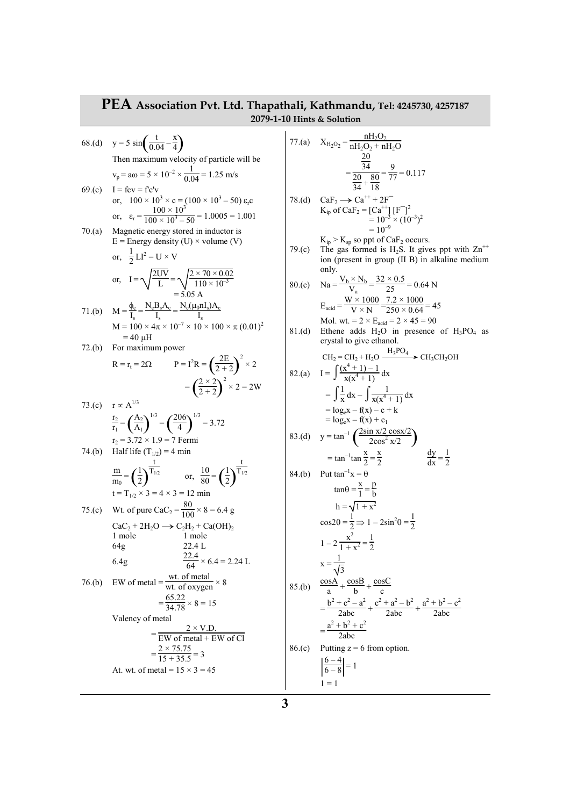## **PEA Association Pvt. Ltd. Thapathali, Kathmandu, Tel: 4245730, 4257187 2079-1-10 Hints & Solution**

68.(d) 
$$
y = 5 \sin \left(\frac{t}{0.04} - \frac{x}{4}\right)
$$
  
\nThen maximum velocity of particle will be  
\n $v_p = a\omega = 5 \times 10^{-2} \times \frac{1}{0.04} = 1.25 \text{ m/s}$   
\n69.(c)  $I = \text{fcv} = f' \text{cv}$   
\nor,  $100 \times 10^3 \times \text{c} = (100 \times 10^3 - 50) \text{ s}_r \text{c}$   
\nor,  $\varepsilon_r = \frac{100 \times 10^3}{100 \times 10^3 - 50} = 1.0005 = 1.001$   
\n70.(a) Magnetic energy stored in inductor is  
\n $E = \text{Energy density (U)} \times \text{volume (V)}$   
\nor,  $\frac{1}{2}LI^2 = U \times V$   
\nor,  $I = \sqrt{\frac{2UV}{L}} = \sqrt{\frac{2 \times 70 \times 0.02}{110 \times 10^3}}$   
\n= 5.05 A  
\n71.(b)  $M = \frac{\phi}{I_s} = \frac{N_e B_s A_e}{I_s} = \frac{N_e(\mu_0 n I_s) A_e}{I_s}$   
\n $M = 100 \times 4\pi \times 10^{-7} \times 10 \times 100 \times \pi (0.01)^2$   
\n= 40 µH  
\n72.(b) For maximum power  
\n $R = r_t = 2\Omega$   $P = I^2 R = \left(\frac{2E}{2+2}\right)^2 \times 2$   
\n $= \left(\frac{2 \times 2}{2+2}\right)^2 \times 2 = 2W$   
\n73.(c)  $r \propto A^{1/3}$   
\n $\frac{r_2}{r_1} = \left(\frac{A_2}{A_1}\right)^{1/3} = \left(\frac{206}{4}\right)^{1/3} = 3.72$   
\n $r_2 = 3.72 \times 1.9 = 7$  Fermi  
\n74.(b) Half life (T<sub>1/2</sub>) = 4 min  
\n $\frac{m}{m_0} = \left(\frac{1}{2}\right)^{\frac{1}{T_{1/2}}}$  or,  $\frac{10}{80} = \$ 

77.(a) 
$$
X_{H_2O_2} = \frac{nH_2O_2}{nH_2O_2 + nH_2O}
$$
  
\t $= \frac{20}{24} = \frac{9}{24} = \frac{9}{77} = 0.117$   
\t $= \frac{20}{24} = \frac{9}{17} = 0.117$   
\n78.(d)  $CaF_2 \rightarrow Ca^{++} + 2F^- = 10^{-3} \times (10^{-3})^2$   
\t $= 10^{-3} \times (10^{-3})^2$   
\t $K_{ip} > K_{sp}$  so put of CaF<sub>2</sub> occurs.  
\n79.(c) The gas formed is H<sub>2</sub>S. It gives put with Zn<sup>++</sup> ion (present in group (II B) in alkaline medium only.  
\t80.(c) Na =  $\frac{V_b \times N_b}{V_a} = \frac{32 \times 0.5}{25} = 0.64 N$   
\t $E_{\text{acid}} = \frac{W \times 1000}{250} = \frac{7.2 \times 1000}{250} = 45$   
\tMol. wt = 2 × Ex<sub>act</sub> = 2 × 45 = 90  
\t81.(d) Ethene adds H<sub>2</sub>O in presence of H<sub>3</sub>PO<sub>4</sub> as crystal to give ethanol.  
\t $CH_2 = CH_2 + H_2O \frac{H_3PO_4}{x(x^4 + 1)} dx$   
\t $= \int \frac{1}{x} dx - \int \frac{1}{x(x^4 + 1)} dx$   
\t $= \log_e x - f(x) - c + k$   
\t $= \log_e x - f(x) - c + k$   
\t $= \log_e x - f(x) + c_1$   
\t83.(d)  $y = \tan^{-1} (\frac{2 \sin x/2 \cos x/2}{2 \cos^2 x/2})$   
\t $= \tan^{-1} \tan \frac{x}{2} = \frac{x}{2}$   
\t $84.(b)$  Put  $\tan^{-1} x = \theta$   
\t $\tan \theta = \frac{x}{1} = \frac{p}{b}$   
\t $h = \sqrt{1 + x^2}$   
\t $\cos 2\theta = \frac{1}{2} \Rightarrow 1 - 2 \sin^2 \$